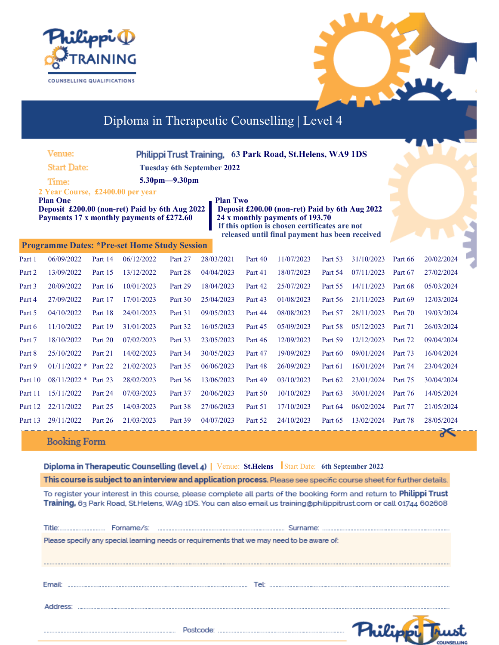



đ

# Diploma in Therapeutic Counselling | Level 4

| Venue:             |                                                                                                                                                    |         | Philippi Trust Training, 63 Park Road, St. Helens, WA9 1DS |         |                 |         |                                                                                                                                                                                      |         |            |         |            |
|--------------------|----------------------------------------------------------------------------------------------------------------------------------------------------|---------|------------------------------------------------------------|---------|-----------------|---------|--------------------------------------------------------------------------------------------------------------------------------------------------------------------------------------|---------|------------|---------|------------|
| <b>Start Date:</b> |                                                                                                                                                    |         | <b>Tuesday 6th September 2022</b>                          |         |                 |         |                                                                                                                                                                                      |         |            |         |            |
|                    | Time:                                                                                                                                              |         | 5.30pm-9.30pm                                              |         |                 |         |                                                                                                                                                                                      |         |            |         |            |
|                    | 2 Year Course, £2400.00 per year<br><b>Plan One</b><br>Deposit £200.00 (non-ret) Paid by 6th Aug 2022<br>Payments 17 x monthly payments of £272.60 |         |                                                            |         | <b>Plan Two</b> |         | Deposit £200.00 (non-ret) Paid by 6th Aug 2022<br>24 x monthly payments of 193.70<br>If this option is chosen certificates are not<br>released until final payment has been received |         |            |         |            |
|                    | <b>Programme Dates: *Pre-set Home Study Session</b>                                                                                                |         |                                                            |         |                 |         |                                                                                                                                                                                      |         |            |         |            |
| Part 1             | 06/09/2022                                                                                                                                         | Part 14 | 06/12/2022                                                 | Part 27 | 28/03/2021      | Part 40 | 11/07/2023                                                                                                                                                                           | Part 53 | 31/10/2023 | Part 66 | 20/02/2024 |
| Part 2             | 13/09/2022                                                                                                                                         | Part 15 | 13/12/2022                                                 | Part 28 | 04/04/2023      | Part 41 | 18/07/2023                                                                                                                                                                           | Part 54 | 07/11/2023 | Part 67 | 27/02/2024 |
| Part 3             | 20/09/2022                                                                                                                                         | Part 16 | 10/01/2023                                                 | Part 29 | 18/04/2023      | Part 42 | 25/07/2023                                                                                                                                                                           | Part 55 | 14/11/2023 | Part 68 | 05/03/2024 |
| Part 4             | 27/09/2022                                                                                                                                         | Part 17 | 17/01/2023                                                 | Part 30 | 25/04/2023      | Part 43 | 01/08/2023                                                                                                                                                                           | Part 56 | 21/11/2023 | Part 69 | 12/03/2024 |
| Part 5             | 04/10/2022                                                                                                                                         | Part 18 | 24/01/2023                                                 | Part 31 | 09/05/2023      | Part 44 | 08/08/2023                                                                                                                                                                           | Part 57 | 28/11/2023 | Part 70 | 19/03/2024 |
| Part 6             | 11/10/2022                                                                                                                                         | Part 19 | 31/01/2023                                                 | Part 32 | 16/05/2023      | Part 45 | 05/09/2023                                                                                                                                                                           | Part 58 | 05/12/2023 | Part 71 | 26/03/2024 |
| Part 7             | 18/10/2022                                                                                                                                         | Part 20 | 07/02/2023                                                 | Part 33 | 23/05/2023      | Part 46 | 12/09/2023                                                                                                                                                                           | Part 59 | 12/12/2023 | Part 72 | 09/04/2024 |
| Part 8             | 25/10/2022                                                                                                                                         | Part 21 | 14/02/2023                                                 | Part 34 | 30/05/2023      | Part 47 | 19/09/2023                                                                                                                                                                           | Part 60 | 09/01/2024 | Part 73 | 16/04/2024 |
| Part 9             | $01/11/2022$ *                                                                                                                                     | Part 22 | 21/02/2023                                                 | Part 35 | 06/06/2023      | Part 48 | 26/09/2023                                                                                                                                                                           | Part 61 | 16/01/2024 | Part 74 | 23/04/2024 |
| Part 10            | $08/11/2022$ *                                                                                                                                     | Part 23 | 28/02/2023                                                 | Part 36 | 13/06/2023      | Part 49 | 03/10/2023                                                                                                                                                                           | Part 62 | 23/01/2024 | Part 75 | 30/04/2024 |
| Part 11            | 15/11/2022                                                                                                                                         | Part 24 | 07/03/2023                                                 | Part 37 | 20/06/2023      | Part 50 | 10/10/2023                                                                                                                                                                           | Part 63 | 30/01/2024 | Part 76 | 14/05/2024 |
| Part 12            | 22/11/2022                                                                                                                                         | Part 25 | 14/03/2023                                                 | Part 38 | 27/06/2023      | Part 51 | 17/10/2023                                                                                                                                                                           | Part 64 | 06/02/2024 | Part 77 | 21/05/2024 |
| Part 13            | 29/11/2022                                                                                                                                         | Part 26 | 21/03/2023                                                 | Part 39 | 04/07/2023      | Part 52 | 24/10/2023                                                                                                                                                                           | Part 65 | 13/02/2024 | Part 78 | 28/05/2024 |

**Booking Form** 

**Diploma in Therapeutic Counselling (level 4)** | Venue: St.Helens | Start Date: 6th September 2022

This course is subject to an interview and application process. Please see specific course sheet for further details.

To register your interest in this course, please complete all parts of the booking form and return to Philippi Trust Training, 63 Park Road, St.Helens, WA9 1DS. You can also email us training@philippitrust.com or call 01744 602608

| Title: | Forname/s: | Surname:                                                                                   |
|--------|------------|--------------------------------------------------------------------------------------------|
|        |            | Please specify any special learning needs or requirements that we may need to be aware of: |
|        |            |                                                                                            |
|        |            |                                                                                            |
| Email: |            |                                                                                            |
|        |            | Tel                                                                                        |
|        |            |                                                                                            |
|        |            |                                                                                            |
|        |            |                                                                                            |